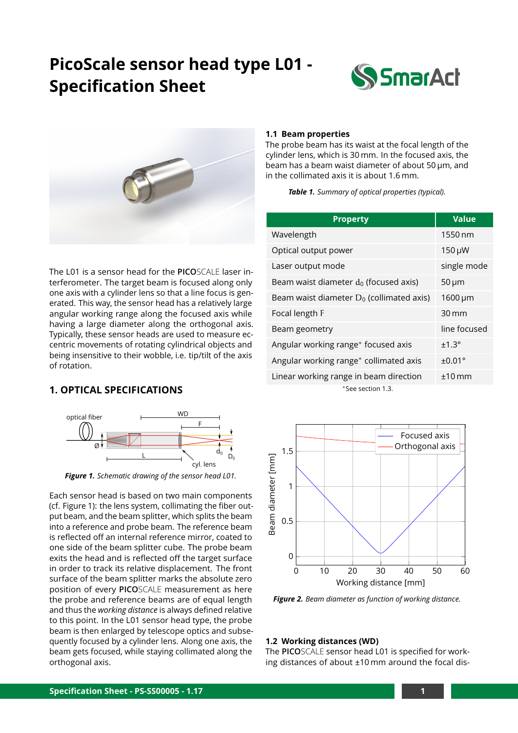# **PicoScale sensor head type L01 - Specification Sheet**





The L01 is a sensor head for the **PICO**SCALE laser interferometer. The target beam is focused along only one axis with a cylinder lens so that a line focus is generated. This way, the sensor head has a relatively large angular working range along the focused axis while having a large diameter along the orthogonal axis. Typically, these sensor heads are used to measure eccentric movements of rotating cylindrical objects and being insensitive to their wobble, i.e. tip/tilt of the axis of rotation.

### **1. OPTICAL SPECIFICATIONS**

<span id="page-0-0"></span>

*Figure 1. Schematic drawing of the sensor head L01.*

Each sensor head is based on two main components (cf. [Figure 1\)](#page-0-0): the lens system, collimating the fiber output beam, and the beam splitter, which splits the beam into a reference and probe beam. The reference beam is reflected off an internal reference mirror, coated to one side of the beam splitter cube. The probe beam exits the head and is reflected off the target surface in order to track its relative displacement. The front surface of the beam splitter marks the absolute zero position of every **PICO**SCALE measurement as here the probe and reference beams are of equal length and thus the *working distance* is always defined relative to this point. In the L01 sensor head type, the probe beam is then enlarged by telescope optics and subsequently focused by a cylinder lens. Along one axis, the beam gets focused, while staying collimated along the orthogonal axis.

#### **1.1 Beam properties**

The probe beam has its waist at the focal length of the cylinder lens, which is 30 mm. In the focused axis, the beam has a beam waist diameter of about 50 µm, and in the collimated axis it is about 1.6 mm.

*Table 1. Summary of optical properties (typical).*

| <b>Property</b>                             | <b>Value</b>              |  |
|---------------------------------------------|---------------------------|--|
| Wavelength                                  | $1550 \text{ nm}$         |  |
| Optical output power                        | $150 \mu W$               |  |
| Laser output mode                           | single mode               |  |
| Beam waist diameter $d_0$ (focused axis)    | $50 \mu m$                |  |
| Beam waist diameter $D_0$ (collimated axis) | $1600 \,\mathrm{\upmu m}$ |  |
| Focal length F                              | $30 \,\mathrm{mm}$        |  |
| Beam geometry                               | line focused              |  |
| Angular working range* focused axis         | $±1.3^\circ$              |  |
| Angular working range* collimated axis      | $\pm 0.01$ °              |  |
| Linear working range in beam direction      | $+10$ mm                  |  |
| *See section 1.3.                           |                           |  |



*Figure 2. Beam diameter as function of working distance.*

#### **1.2 Working distances (WD)**

The **PICO**SCALE sensor head L01 is specified for working distances of about ±10 mm around the focal dis-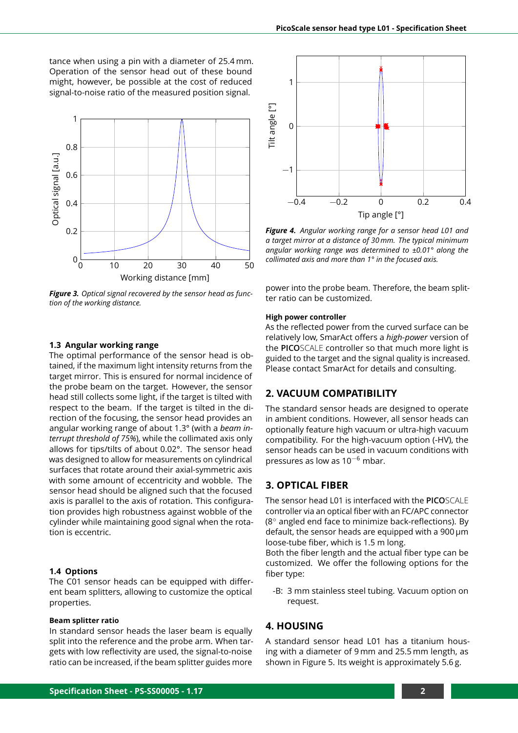tance when using a pin with a diameter of 25.4 mm. Operation of the sensor head out of these bound might, however, be possible at the cost of reduced signal-to-noise ratio of the measured position signal.



*Figure 3. Optical signal recovered by the sensor head as function of the working distance.*

#### <span id="page-1-0"></span>**1.3 Angular working range**

The optimal performance of the sensor head is obtained, if the maximum light intensity returns from the target mirror. This is ensured for normal incidence of the probe beam on the target. However, the sensor head still collects some light, if the target is tilted with respect to the beam. If the target is tilted in the direction of the focusing, the sensor head provides an angular working range of about 1.3° (with a *beam interrupt threshold of 75%*), while the collimated axis only allows for tips/tilts of about 0.02°. The sensor head was designed to allow for measurements on cylindrical surfaces that rotate around their axial-symmetric axis with some amount of eccentricity and wobble. The sensor head should be aligned such that the focused axis is parallel to the axis of rotation. This configuration provides high robustness against wobble of the cylinder while maintaining good signal when the rotation is eccentric.

#### **1.4 Options**

The C01 sensor heads can be equipped with different beam splitters, allowing to customize the optical properties.

#### **Beam splitter ratio**

In standard sensor heads the laser beam is equally split into the reference and the probe arm. When targets with low reflectivity are used, the signal-to-noise ratio can be increased, if the beam splitter guides more



*Figure 4. Angular working range for a sensor head L01 and a target mirror at a distance of 30 mm. The typical minimum angular working range was determined to ±0.01° along the collimated axis and more than 1° in the focused axis.*

power into the probe beam. Therefore, the beam splitter ratio can be customized.

#### **High power controller**

As the reflected power from the curved surface can be relatively low, SmarAct offers a *high-power* version of the **PICO**SCALE controller so that much more light is guided to the target and the signal quality is increased. Please contact SmarAct for details and consulting.

#### **2. VACUUM COMPATIBILITY**

The standard sensor heads are designed to operate in ambient conditions. However, all sensor heads can optionally feature high vacuum or ultra-high vacuum compatibility. For the high-vacuum option (-HV), the sensor heads can be used in vacuum conditions with pressures as low as  $10^{-6}$  mbar.

#### **3. OPTICAL FIBER**

The sensor head L01 is interfaced with the **PICO**SCALE controller via an optical fiber with an FC/APC connector (8◦ angled end face to minimize back-reflections). By default, the sensor heads are equipped with a 900 µm loose-tube fiber, which is 1.5 m long.

Both the fiber length and the actual fiber type can be customized. We offer the following options for the fiber type:

-B: 3 mm stainless steel tubing. Vacuum option on request.

#### **4. HOUSING**

A standard sensor head L01 has a titanium housing with a diameter of 9 mm and 25.5 mm length, as shownin [Figure 5.](#page-2-0) Its weight is approximately 5.6 g.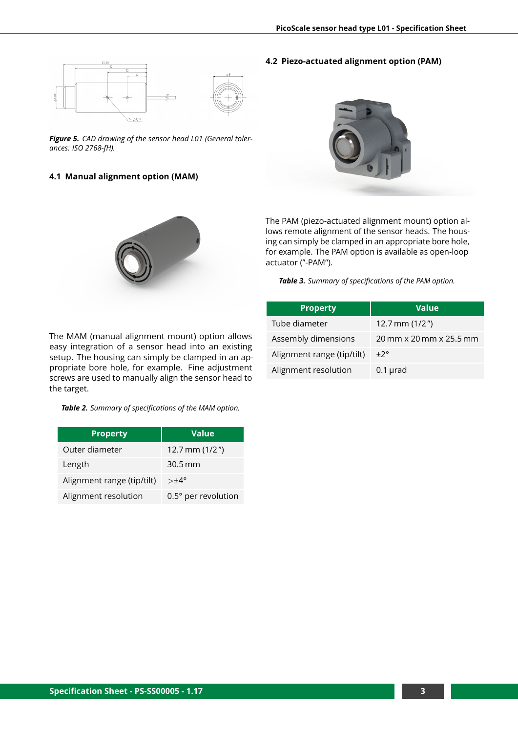**4.2 Piezo-actuated alignment option (PAM)**

<span id="page-2-0"></span>

*Figure 5. CAD drawing of the sensor head L01 (General tolerances: ISO 2768-fH).*

#### **4.1 Manual alignment option (MAM)**





The PAM (piezo-actuated alignment mount) option allows remote alignment of the sensor heads. The housing can simply be clamped in an appropriate bore hole, for example. The PAM option is available as open-loop actuator ("-PAM").

*Table 3. Summary of specifications of the PAM option.*

| <b>Property</b>            | <b>Value</b>            |
|----------------------------|-------------------------|
| Tube diameter              | 12.7 mm $(1/2")$        |
| Assembly dimensions        | 20 mm x 20 mm x 25.5 mm |
| Alignment range (tip/tilt) | $+2^{\circ}$            |
| Alignment resolution       | $0.1$ µrad              |

The MAM (manual alignment mount) option allows easy integration of a sensor head into an existing setup. The housing can simply be clamped in an appropriate bore hole, for example. Fine adjustment screws are used to manually align the sensor head to the target.

#### *Table 2. Summary of specifications of the MAM option.*

| <b>Property</b>            | <b>Value</b>         |
|----------------------------|----------------------|
| Outer diameter             | 12.7 mm $(1/2")$     |
| Length                     | $30.5 \,\mathrm{mm}$ |
| Alignment range (tip/tilt) | $> \pm 4^{\circ}$    |
| Alignment resolution       | 0.5° per revolution  |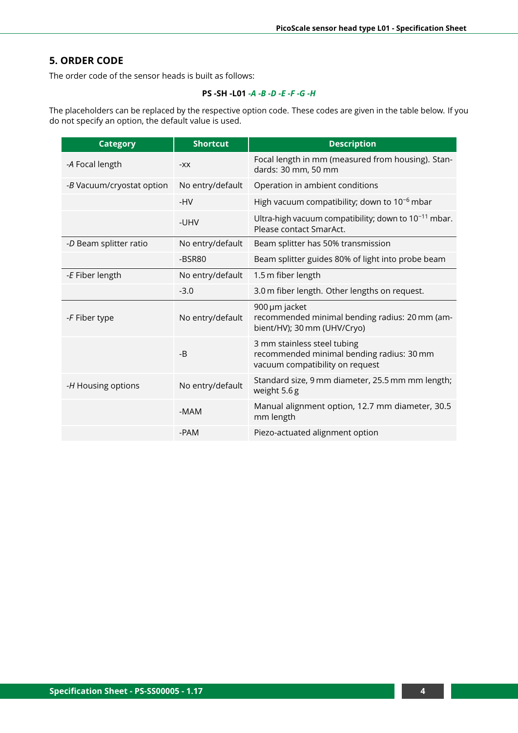### **5. ORDER CODE**

The order code of the sensor heads is built as follows:

#### **PS -SH -L01** *-A -B -D -E -F -G -H*

The placeholders can be replaced by the respective option code. These codes are given in the table below. If you do not specify an option, the default value is used.

| <b>Category</b>           | <b>Shortcut</b>  | <b>Description</b>                                                                                          |
|---------------------------|------------------|-------------------------------------------------------------------------------------------------------------|
| -A Focal length           | $-XX$            | Focal length in mm (measured from housing). Stan-<br>dards: 30 mm, 50 mm                                    |
| -B Vacuum/cryostat option | No entry/default | Operation in ambient conditions                                                                             |
|                           | -HV              | High vacuum compatibility; down to $10^{-6}$ mbar                                                           |
|                           | -UHV             | Ultra-high vacuum compatibility; down to $10^{-11}$ mbar.<br>Please contact SmarAct.                        |
| -D Beam splitter ratio    | No entry/default | Beam splitter has 50% transmission                                                                          |
|                           | $-BSR80$         | Beam splitter guides 80% of light into probe beam                                                           |
| -E Fiber length           | No entry/default | 1.5 m fiber length                                                                                          |
|                           | $-3.0$           | 3.0 m fiber length. Other lengths on request.                                                               |
| -F Fiber type             | No entry/default | 900 µm jacket<br>recommended minimal bending radius: 20 mm (am-<br>bient/HV); 30 mm (UHV/Cryo)              |
|                           | $-B$             | 3 mm stainless steel tubing<br>recommended minimal bending radius: 30 mm<br>vacuum compatibility on request |
| -H Housing options        | No entry/default | Standard size, 9 mm diameter, 25.5 mm mm length;<br>weight 5.6g                                             |
|                           | -MAM             | Manual alignment option, 12.7 mm diameter, 30.5<br>mm length                                                |
|                           | -PAM             | Piezo-actuated alignment option                                                                             |